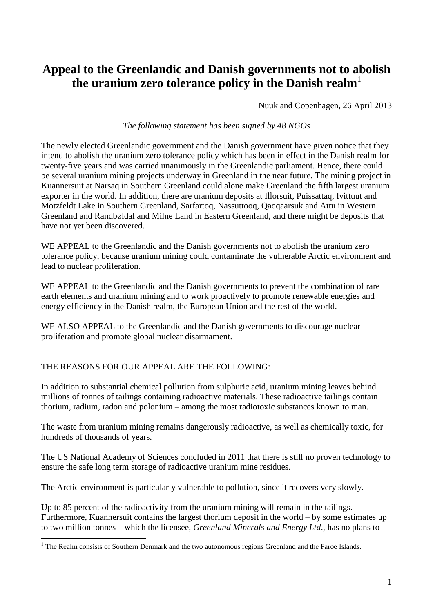## **Appeal to the Greenlandic and Danish governments not to abolish the uranium zero tolerance policy in the Danish realm**<sup>1</sup>

Nuuk and Copenhagen, 26 April 2013

## *The following statement has been signed by 48 NGOs*

The newly elected Greenlandic government and the Danish government have given notice that they intend to abolish the uranium zero tolerance policy which has been in effect in the Danish realm for twenty-five years and was carried unanimously in the Greenlandic parliament. Hence, there could be several uranium mining projects underway in Greenland in the near future. The mining project in Kuannersuit at Narsaq in Southern Greenland could alone make Greenland the fifth largest uranium exporter in the world. In addition, there are uranium deposits at Illorsuit, Puissattaq, Ivittuut and Motzfeldt Lake in Southern Greenland, Sarfartoq, Nassuttooq, Qaqqaarsuk and Attu in Western Greenland and Randbøldal and Milne Land in Eastern Greenland, and there might be deposits that have not yet been discovered.

WE APPEAL to the Greenlandic and the Danish governments not to abolish the uranium zero tolerance policy, because uranium mining could contaminate the vulnerable Arctic environment and lead to nuclear proliferation.

WE APPEAL to the Greenlandic and the Danish governments to prevent the combination of rare earth elements and uranium mining and to work proactively to promote renewable energies and energy efficiency in the Danish realm, the European Union and the rest of the world.

WE ALSO APPEAL to the Greenlandic and the Danish governments to discourage nuclear proliferation and promote global nuclear disarmament.

## THE REASONS FOR OUR APPEAL ARE THE FOLLOWING:

 $\overline{a}$ 

In addition to substantial chemical pollution from sulphuric acid, uranium mining leaves behind millions of tonnes of tailings containing radioactive materials. These radioactive tailings contain thorium, radium, radon and polonium – among the most radiotoxic substances known to man.

The waste from uranium mining remains dangerously radioactive, as well as chemically toxic, for hundreds of thousands of years.

The US National Academy of Sciences concluded in 2011 that there is still no proven technology to ensure the safe long term storage of radioactive uranium mine residues.

The Arctic environment is particularly vulnerable to pollution, since it recovers very slowly.

Up to 85 percent of the radioactivity from the uranium mining will remain in the tailings. Furthermore, Kuannersuit contains the largest thorium deposit in the world – by some estimates up to two million tonnes – which the licensee, *Greenland Minerals and Energy Ltd*., has no plans to

<sup>&</sup>lt;sup>1</sup> The Realm consists of Southern Denmark and the two autonomous regions Greenland and the Faroe Islands.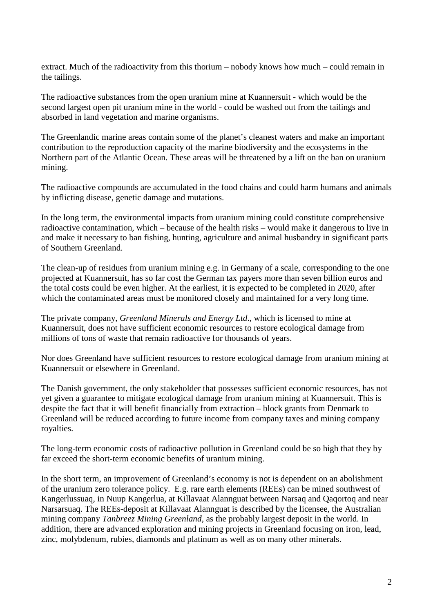extract. Much of the radioactivity from this thorium – nobody knows how much – could remain in the tailings.

The radioactive substances from the open uranium mine at Kuannersuit - which would be the second largest open pit uranium mine in the world - could be washed out from the tailings and absorbed in land vegetation and marine organisms.

The Greenlandic marine areas contain some of the planet's cleanest waters and make an important contribution to the reproduction capacity of the marine biodiversity and the ecosystems in the Northern part of the Atlantic Ocean. These areas will be threatened by a lift on the ban on uranium mining.

The radioactive compounds are accumulated in the food chains and could harm humans and animals by inflicting disease, genetic damage and mutations.

In the long term, the environmental impacts from uranium mining could constitute comprehensive radioactive contamination, which – because of the health risks – would make it dangerous to live in and make it necessary to ban fishing, hunting, agriculture and animal husbandry in significant parts of Southern Greenland.

The clean-up of residues from uranium mining e.g. in Germany of a scale, corresponding to the one projected at Kuannersuit, has so far cost the German tax payers more than seven billion euros and the total costs could be even higher. At the earliest, it is expected to be completed in 2020, after which the contaminated areas must be monitored closely and maintained for a very long time.

The private company, *Greenland Minerals and Energy Ltd*., which is licensed to mine at Kuannersuit, does not have sufficient economic resources to restore ecological damage from millions of tons of waste that remain radioactive for thousands of years.

Nor does Greenland have sufficient resources to restore ecological damage from uranium mining at Kuannersuit or elsewhere in Greenland.

The Danish government, the only stakeholder that possesses sufficient economic resources, has not yet given a guarantee to mitigate ecological damage from uranium mining at Kuannersuit. This is despite the fact that it will benefit financially from extraction – block grants from Denmark to Greenland will be reduced according to future income from company taxes and mining company royalties.

The long-term economic costs of radioactive pollution in Greenland could be so high that they by far exceed the short-term economic benefits of uranium mining.

In the short term, an improvement of Greenland's economy is not is dependent on an abolishment of the uranium zero tolerance policy. E.g. rare earth elements (REEs) can be mined southwest of Kangerlussuaq, in Nuup Kangerlua, at Killavaat Alannguat between Narsaq and Qaqortoq and near Narsarsuaq. The REEs-deposit at Killavaat Alannguat is described by the licensee, the Australian mining company *Tanbreez Mining Greenland*, as the probably largest deposit in the world. In addition, there are advanced exploration and mining projects in Greenland focusing on iron, lead, zinc, molybdenum, rubies, diamonds and platinum as well as on many other minerals.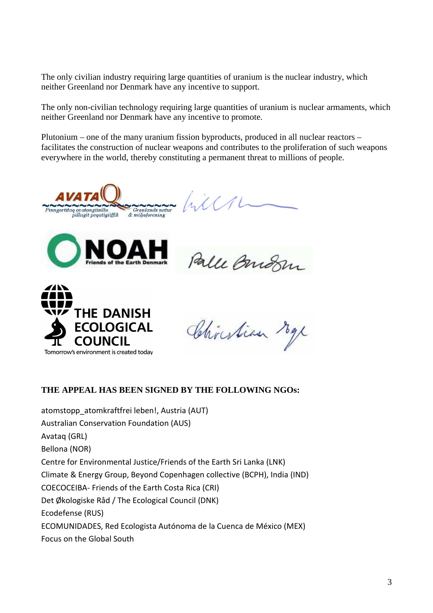The only civilian industry requiring large quantities of uranium is the nuclear industry, which neither Greenland nor Denmark have any incentive to support.

The only non-civilian technology requiring large quantities of uranium is nuclear armaments, which neither Greenland nor Denmark have any incentive to promote.

Plutonium – one of the many uranium fission byproducts, produced in all nuclear reactors – facilitates the construction of nuclear weapons and contributes to the proliferation of such weapons everywhere in the world, thereby constituting a permanent threat to millions of people.

 $\Lambda$ Grønlands natur<br>& miljøforening Pinngortitaq avatangiisillu



Palle Bridge



Christian Max

## **THE APPEAL HAS BEEN SIGNED BY THE FOLLOWING NGOs:**

atomstopp\_atomkraftfrei leben!, Austria (AUT) Australian Conservation Foundation (AUS) Avataq (GRL) Bellona (NOR) Centre for Environmental Justice/Friends of the Earth Sri Lanka (LNK) Climate & Energy Group, Beyond Copenhagen collective (BCPH), India (IND) COECOCEIBA- Friends of the Earth Costa Rica (CRI) Det Økologiske Råd / The Ecological Council (DNK) Ecodefense (RUS) ECOMUNIDADES, Red Ecologista Autónoma de la Cuenca de México (MEX) Focus on the Global South